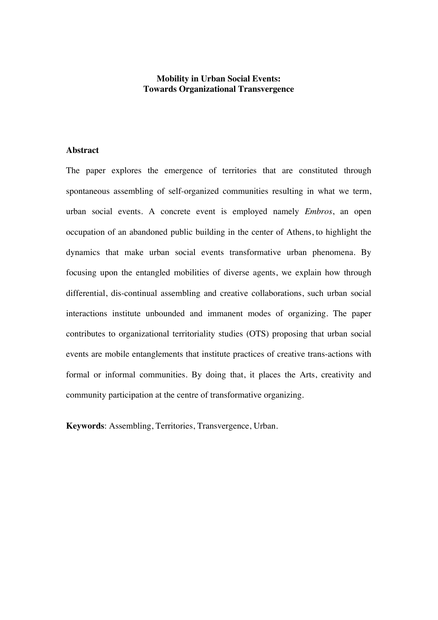## **Mobility in Urban Social Events: Towards Organizational Transvergence**

## **Abstract**

The paper explores the emergence of territories that are constituted through spontaneous assembling of self-organized communities resulting in what we term, urban social events. A concrete event is employed namely *Embros*, an open occupation of an abandoned public building in the center of Athens, to highlight the dynamics that make urban social events transformative urban phenomena. By focusing upon the entangled mobilities of diverse agents, we explain how through differential, dis-continual assembling and creative collaborations, such urban social interactions institute unbounded and immanent modes of organizing. The paper contributes to organizational territoriality studies (OTS) proposing that urban social events are mobile entanglements that institute practices of creative trans-actions with formal or informal communities. By doing that, it places the Arts, creativity and community participation at the centre of transformative organizing.

**Keywords**: Assembling, Territories, Transvergence, Urban.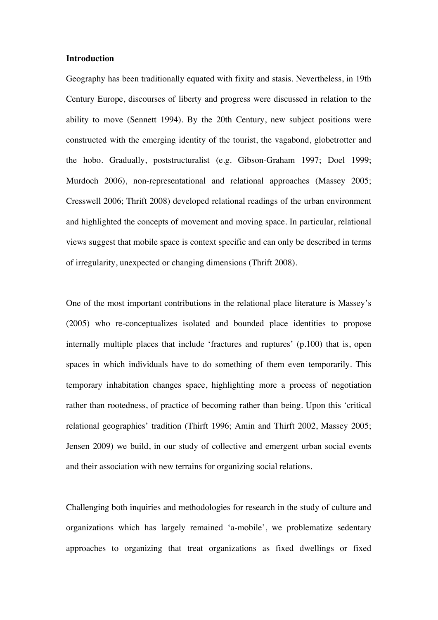#### **Introduction**

Geography has been traditionally equated with fixity and stasis. Nevertheless, in 19th Century Europe, discourses of liberty and progress were discussed in relation to the ability to move (Sennett 1994). By the 20th Century, new subject positions were constructed with the emerging identity of the tourist, the vagabond, globetrotter and the hobo. Gradually, poststructuralist (e.g. Gibson-Graham 1997; Doel 1999; Murdoch 2006), non-representational and relational approaches (Massey 2005; Cresswell 2006; Thrift 2008) developed relational readings of the urban environment and highlighted the concepts of movement and moving space. In particular, relational views suggest that mobile space is context specific and can only be described in terms of irregularity, unexpected or changing dimensions (Thrift 2008).

One of the most important contributions in the relational place literature is Massey's (2005) who re-conceptualizes isolated and bounded place identities to propose internally multiple places that include 'fractures and ruptures' (p.100) that is, open spaces in which individuals have to do something of them even temporarily. This temporary inhabitation changes space, highlighting more a process of negotiation rather than rootedness, of practice of becoming rather than being. Upon this 'critical relational geographies' tradition (Thirft 1996; Amin and Thirft 2002, Massey 2005; Jensen 2009) we build, in our study of collective and emergent urban social events and their association with new terrains for organizing social relations.

Challenging both inquiries and methodologies for research in the study of culture and organizations which has largely remained 'a-mobile', we problematize sedentary approaches to organizing that treat organizations as fixed dwellings or fixed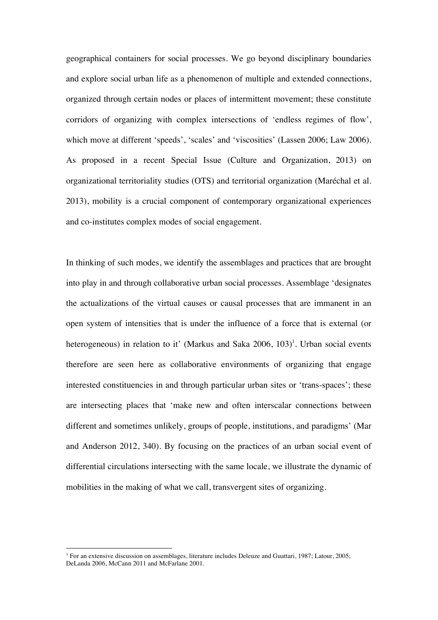geographical containers for social processes. We go beyond disciplinary boundaries and explore social urban life as a phenomenon of multiple and extended connections, organized through certain nodes or places of intermittent movement; these constitute corridors of organizing with complex intersections of 'endless regimes of flow', which move at different 'speeds', 'scales' and 'viscosities' (Lassen 2006; Law 2006). As proposed in a recent Special Issue (Culture and Organization, 2013) on organizational territoriality studies (OTS) and territorial organization (Maréchal et al. 2013), mobility is a crucial component of contemporary organizational experiences and co-institutes complex modes of social engagement.

In thinking of such modes, we identify the assemblages and practices that are brought into play in and through collaborative urban social processes. Assemblage 'designates the actualizations of the virtual causes or causal processes that are immanent in an open system of intensities that is under the influence of a force that is external (or heterogeneous) in relation to it' (Markus and Saka 2006, 103)<sup>1</sup>. Urban social events therefore are seen here as collaborative environments of organizing that engage interested constituencies in and through particular urban sites or 'trans-spaces'; these are intersecting places that 'make new and often interscalar connections between different and sometimes unlikely, groups of people, institutions, and paradigms' (Mar and Anderson 2012, 340). By focusing on the practices of an urban social event of differential circulations intersecting with the same locale, we illustrate the dynamic of mobilities in the making of what we call, transvergent sites of organizing.

 

<sup>1</sup> For an extensive discussion on assemblages, literature includes Deleuze and Guattari, 1987; Latour, 2005; DeLanda 2006, McCann 2011 and McFarlane 2001.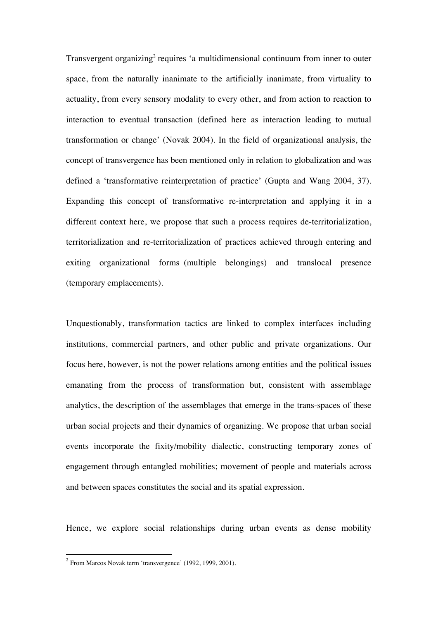Transvergent organizing<sup>2</sup> requires 'a multidimensional continuum from inner to outer space, from the naturally inanimate to the artificially inanimate, from virtuality to actuality, from every sensory modality to every other, and from action to reaction to interaction to eventual transaction (defined here as interaction leading to mutual transformation or change' (Novak 2004). In the field of organizational analysis, the concept of transvergence has been mentioned only in relation to globalization and was defined a 'transformative reinterpretation of practice' (Gupta and Wang 2004, 37). Expanding this concept of transformative re-interpretation and applying it in a different context here, we propose that such a process requires de-territorialization, territorialization and re-territorialization of practices achieved through entering and exiting organizational forms (multiple belongings) and translocal presence (temporary emplacements).

Unquestionably, transformation tactics are linked to complex interfaces including institutions, commercial partners, and other public and private organizations. Our focus here, however, is not the power relations among entities and the political issues emanating from the process of transformation but, consistent with assemblage analytics, the description of the assemblages that emerge in the trans-spaces of these urban social projects and their dynamics of organizing. We propose that urban social events incorporate the fixity/mobility dialectic, constructing temporary zones of engagement through entangled mobilities; movement of people and materials across and between spaces constitutes the social and its spatial expression.

Hence, we explore social relationships during urban events as dense mobility

 <sup>2</sup> From Marcos Novak term 'transvergence' (1992, 1999, 2001).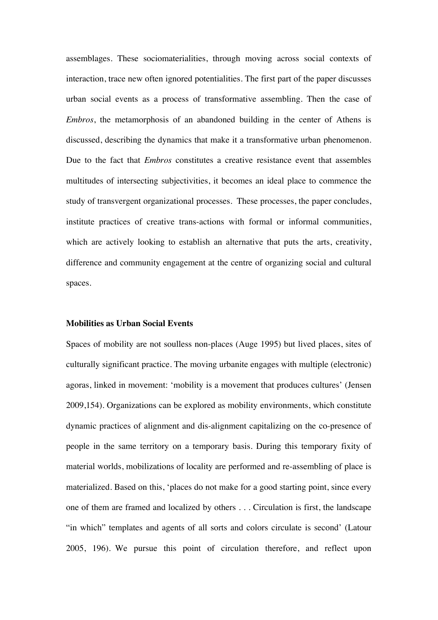assemblages. These sociomaterialities, through moving across social contexts of interaction, trace new often ignored potentialities. The first part of the paper discusses urban social events as a process of transformative assembling. Then the case of *Embros*, the metamorphosis of an abandoned building in the center of Athens is discussed, describing the dynamics that make it a transformative urban phenomenon. Due to the fact that *Embros* constitutes a creative resistance event that assembles multitudes of intersecting subjectivities, it becomes an ideal place to commence the study of transvergent organizational processes. These processes, the paper concludes, institute practices of creative trans-actions with formal or informal communities, which are actively looking to establish an alternative that puts the arts, creativity, difference and community engagement at the centre of organizing social and cultural spaces.

#### **Mobilities as Urban Social Events**

Spaces of mobility are not soulless non-places (Auge 1995) but lived places, sites of culturally significant practice. The moving urbanite engages with multiple (electronic) agoras, linked in movement: 'mobility is a movement that produces cultures' (Jensen 2009,154). Organizations can be explored as mobility environments, which constitute dynamic practices of alignment and dis-alignment capitalizing on the co-presence of people in the same territory on a temporary basis. During this temporary fixity of material worlds, mobilizations of locality are performed and re-assembling of place is materialized. Based on this, 'places do not make for a good starting point, since every one of them are framed and localized by others . . . Circulation is first, the landscape "in which" templates and agents of all sorts and colors circulate is second' (Latour 2005, 196). We pursue this point of circulation therefore, and reflect upon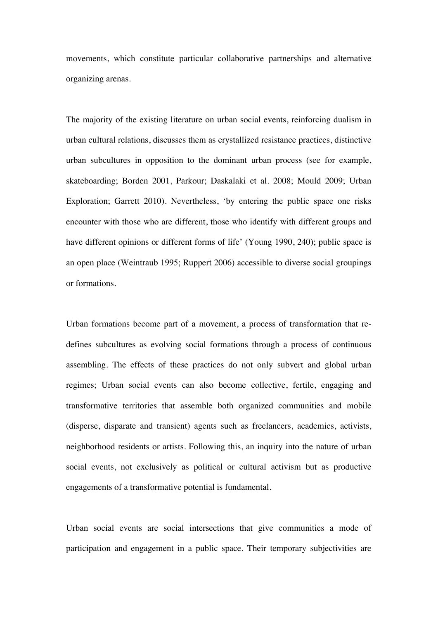movements, which constitute particular collaborative partnerships and alternative organizing arenas.

The majority of the existing literature on urban social events, reinforcing dualism in urban cultural relations, discusses them as crystallized resistance practices, distinctive urban subcultures in opposition to the dominant urban process (see for example, skateboarding; Borden 2001, Parkour; Daskalaki et al. 2008; Mould 2009; Urban Exploration; Garrett 2010). Nevertheless, 'by entering the public space one risks encounter with those who are different, those who identify with different groups and have different opinions or different forms of life' (Young 1990, 240); public space is an open place (Weintraub 1995; Ruppert 2006) accessible to diverse social groupings or formations.

Urban formations become part of a movement, a process of transformation that redefines subcultures as evolving social formations through a process of continuous assembling. The effects of these practices do not only subvert and global urban regimes; Urban social events can also become collective, fertile, engaging and transformative territories that assemble both organized communities and mobile (disperse, disparate and transient) agents such as freelancers, academics, activists, neighborhood residents or artists. Following this, an inquiry into the nature of urban social events, not exclusively as political or cultural activism but as productive engagements of a transformative potential is fundamental.

Urban social events are social intersections that give communities a mode of participation and engagement in a public space. Their temporary subjectivities are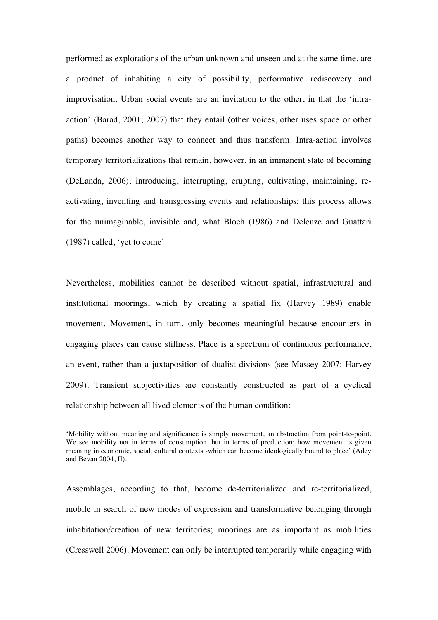performed as explorations of the urban unknown and unseen and at the same time, are a product of inhabiting a city of possibility, performative rediscovery and improvisation. Urban social events are an invitation to the other, in that the 'intraaction' (Barad, 2001; 2007) that they entail (other voices, other uses space or other paths) becomes another way to connect and thus transform. Intra-action involves temporary territorializations that remain, however, in an immanent state of becoming (DeLanda, 2006), introducing, interrupting, erupting, cultivating, maintaining, reactivating, inventing and transgressing events and relationships; this process allows for the unimaginable, invisible and, what Bloch (1986) and Deleuze and Guattari (1987) called, 'yet to come'

Nevertheless, mobilities cannot be described without spatial, infrastructural and institutional moorings, which by creating a spatial fix (Harvey 1989) enable movement. Movement, in turn, only becomes meaningful because encounters in engaging places can cause stillness. Place is a spectrum of continuous performance, an event, rather than a juxtaposition of dualist divisions (see Massey 2007; Harvey 2009). Transient subjectivities are constantly constructed as part of a cyclical relationship between all lived elements of the human condition:

'Mobility without meaning and significance is simply movement, an abstraction from point-to-point. We see mobility not in terms of consumption, but in terms of production; how movement is given meaning in economic, social, cultural contexts -which can become ideologically bound to place' (Adey and Bevan 2004, II).

Assemblages, according to that, become de-territorialized and re-territorialized, mobile in search of new modes of expression and transformative belonging through inhabitation/creation of new territories; moorings are as important as mobilities (Cresswell 2006). Movement can only be interrupted temporarily while engaging with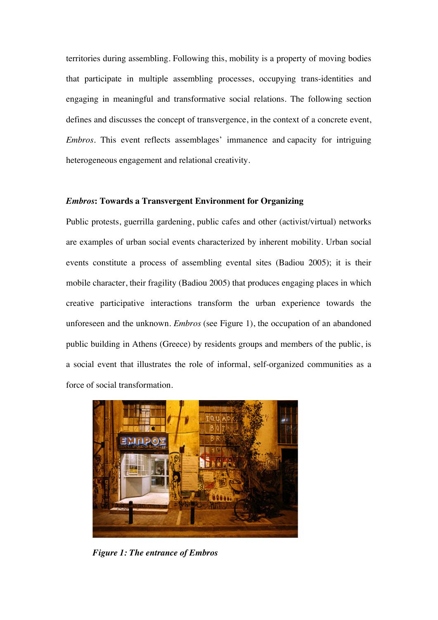territories during assembling. Following this, mobility is a property of moving bodies that participate in multiple assembling processes, occupying trans-identities and engaging in meaningful and transformative social relations. The following section defines and discusses the concept of transvergence, in the context of a concrete event, *Embros*. This event reflects assemblages' immanence and capacity for intriguing heterogeneous engagement and relational creativity.

### *Embros***: Towards a Transvergent Environment for Organizing**

Public protests, guerrilla gardening, public cafes and other (activist/virtual) networks are examples of urban social events characterized by inherent mobility. Urban social events constitute a process of assembling evental sites (Badiou 2005); it is their mobile character, their fragility (Badiou 2005) that produces engaging places in which creative participative interactions transform the urban experience towards the unforeseen and the unknown. *Embros* (see Figure 1), the occupation of an abandoned public building in Athens (Greece) by residents groups and members of the public, is a social event that illustrates the role of informal, self-organized communities as a force of social transformation.



*Figure 1: The entrance of Embros*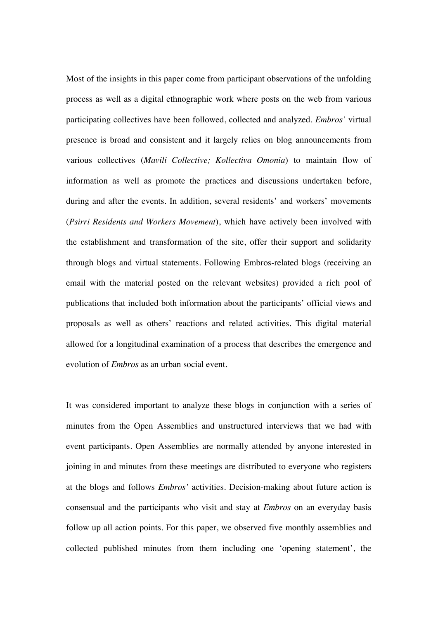Most of the insights in this paper come from participant observations of the unfolding process as well as a digital ethnographic work where posts on the web from various participating collectives have been followed, collected and analyzed. *Embros'* virtual presence is broad and consistent and it largely relies on blog announcements from various collectives (*Mavili Collective; Kollectiva Omonia*) to maintain flow of information as well as promote the practices and discussions undertaken before, during and after the events. In addition, several residents' and workers' movements (*Psirri Residents and Workers Movement*), which have actively been involved with the establishment and transformation of the site, offer their support and solidarity through blogs and virtual statements. Following Embros-related blogs (receiving an email with the material posted on the relevant websites) provided a rich pool of publications that included both information about the participants' official views and proposals as well as others' reactions and related activities. This digital material allowed for a longitudinal examination of a process that describes the emergence and evolution of *Embros* as an urban social event.

It was considered important to analyze these blogs in conjunction with a series of minutes from the Open Assemblies and unstructured interviews that we had with event participants. Open Assemblies are normally attended by anyone interested in joining in and minutes from these meetings are distributed to everyone who registers at the blogs and follows *Embros'* activities. Decision-making about future action is consensual and the participants who visit and stay at *Embros* on an everyday basis follow up all action points. For this paper, we observed five monthly assemblies and collected published minutes from them including one 'opening statement', the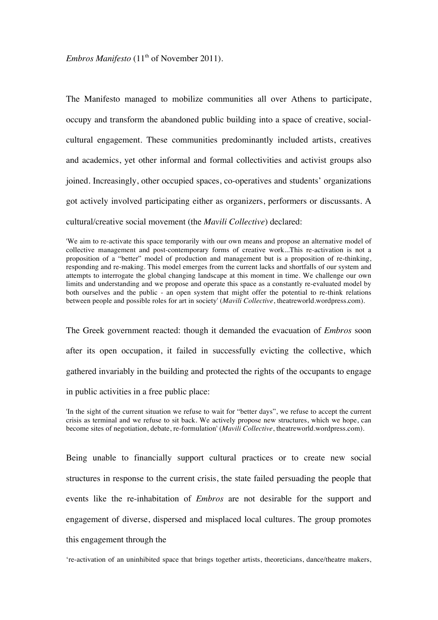*Embros Manifesto* (11<sup>th</sup> of November 2011).

The Manifesto managed to mobilize communities all over Athens to participate, occupy and transform the abandoned public building into a space of creative, socialcultural engagement. These communities predominantly included artists, creatives and academics, yet other informal and formal collectivities and activist groups also joined. Increasingly, other occupied spaces, co-operatives and students' organizations got actively involved participating either as organizers, performers or discussants. A cultural/creative social movement (the *Mavili Collective*) declared:

'We aim to re-activate this space temporarily with our own means and propose an alternative model of collective management and post-contemporary forms of creative work...This re-activation is not a proposition of a "better" model of production and management but is a proposition of re-thinking, responding and re-making. This model emerges from the current lacks and shortfalls of our system and attempts to interrogate the global changing landscape at this moment in time. We challenge our own limits and understanding and we propose and operate this space as a constantly re-evaluated model by both ourselves and the public - an open system that might offer the potential to re-think relations between people and possible roles for art in society' (*Mavili Collective*, theatreworld.wordpress.com).

The Greek government reacted: though it demanded the evacuation of *Embros* soon after its open occupation, it failed in successfully evicting the collective, which gathered invariably in the building and protected the rights of the occupants to engage in public activities in a free public place:

'In the sight of the current situation we refuse to wait for "better days", we refuse to accept the current crisis as terminal and we refuse to sit back. We actively propose new structures, which we hope, can become sites of negotiation, debate, re-formulation' (*Mavili Collective*, theatreworld.wordpress.com).

Being unable to financially support cultural practices or to create new social structures in response to the current crisis, the state failed persuading the people that events like the re-inhabitation of *Embros* are not desirable for the support and engagement of diverse, dispersed and misplaced local cultures. The group promotes this engagement through the

're-activation of an uninhibited space that brings together artists, theoreticians, dance/theatre makers,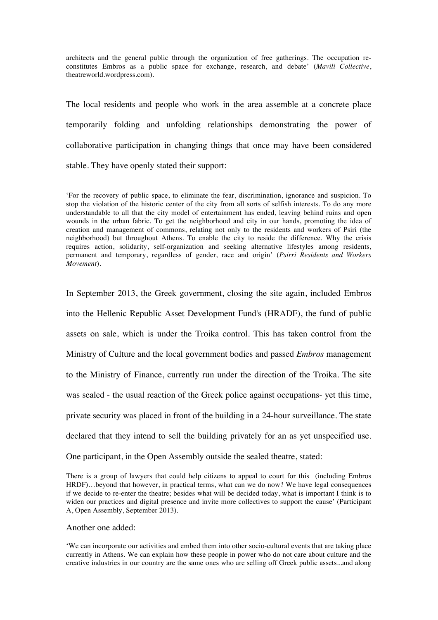architects and the general public through the organization of free gatherings. The occupation reconstitutes Embros as a public space for exchange, research, and debate' (*Mavili Collective*, theatreworld.wordpress.com).

The local residents and people who work in the area assemble at a concrete place temporarily folding and unfolding relationships demonstrating the power of collaborative participation in changing things that once may have been considered stable. They have openly stated their support:

'For the recovery of public space, to eliminate the fear, discrimination, ignorance and suspicion. To stop the violation of the historic center of the city from all sorts of selfish interests. To do any more understandable to all that the city model of entertainment has ended, leaving behind ruins and open wounds in the urban fabric. To get the neighborhood and city in our hands, promoting the idea of creation and management of commons, relating not only to the residents and workers of Psiri (the neighborhood) but throughout Athens. To enable the city to reside the difference. Why the crisis requires action, solidarity, self-organization and seeking alternative lifestyles among residents, permanent and temporary, regardless of gender, race and origin' (*Psirri Residents and Workers Movement*).

In September 2013, the Greek government, closing the site again, included Embros into the Hellenic Republic Asset Development Fund's (HRADF), the fund of public assets on sale, which is under the Troika control. This has taken control from the Ministry of Culture and the local government bodies and passed *Embros* management to the Ministry of Finance, currently run under the direction of the Troika. The site was sealed - the usual reaction of the Greek police against occupations- yet this time, private security was placed in front of the building in a 24-hour surveillance. The state declared that they intend to sell the building privately for an as yet unspecified use. One participant, in the Open Assembly outside the sealed theatre, stated:

There is a group of lawyers that could help citizens to appeal to court for this (including Embros HRDF)…beyond that however, in practical terms, what can we do now? We have legal consequences if we decide to re-enter the theatre; besides what will be decided today, what is important I think is to widen our practices and digital presence and invite more collectives to support the cause' (Participant A, Open Assembly, September 2013).

#### Another one added:

'We can incorporate our activities and embed them into other socio-cultural events that are taking place currently in Athens. We can explain how these people in power who do not care about culture and the creative industries in our country are the same ones who are selling off Greek public assets...and along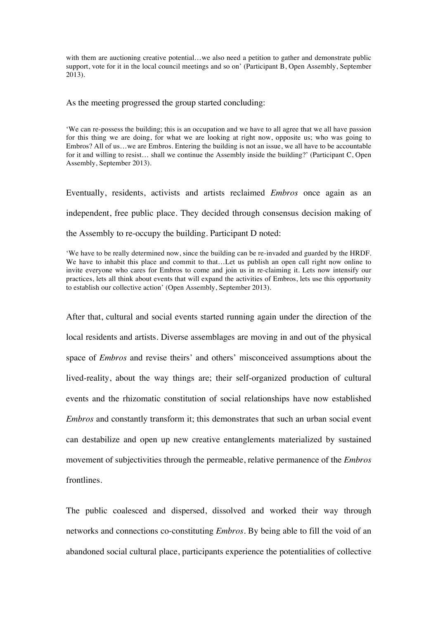with them are auctioning creative potential...we also need a petition to gather and demonstrate public support, vote for it in the local council meetings and so on' (Participant B, Open Assembly, September 2013).

#### As the meeting progressed the group started concluding:

'We can re-possess the building; this is an occupation and we have to all agree that we all have passion for this thing we are doing, for what we are looking at right now, opposite us; who was going to Embros? All of us…we are Embros. Entering the building is not an issue, we all have to be accountable for it and willing to resist… shall we continue the Assembly inside the building?' (Participant C, Open Assembly, September 2013).

Eventually, residents, activists and artists reclaimed *Embros* once again as an independent, free public place. They decided through consensus decision making of the Assembly to re-occupy the building. Participant D noted:

'We have to be really determined now, since the building can be re-invaded and guarded by the HRDF. We have to inhabit this place and commit to that…Let us publish an open call right now online to invite everyone who cares for Embros to come and join us in re-claiming it. Lets now intensify our practices, lets all think about events that will expand the activities of Embros, lets use this opportunity to establish our collective action' (Open Assembly, September 2013).

After that, cultural and social events started running again under the direction of the local residents and artists. Diverse assemblages are moving in and out of the physical space of *Embros* and revise theirs' and others' misconceived assumptions about the lived-reality, about the way things are; their self-organized production of cultural events and the rhizomatic constitution of social relationships have now established *Embros* and constantly transform it; this demonstrates that such an urban social event can destabilize and open up new creative entanglements materialized by sustained movement of subjectivities through the permeable, relative permanence of the *Embros* frontlines.

The public coalesced and dispersed, dissolved and worked their way through networks and connections co-constituting *Embros*. By being able to fill the void of an abandoned social cultural place, participants experience the potentialities of collective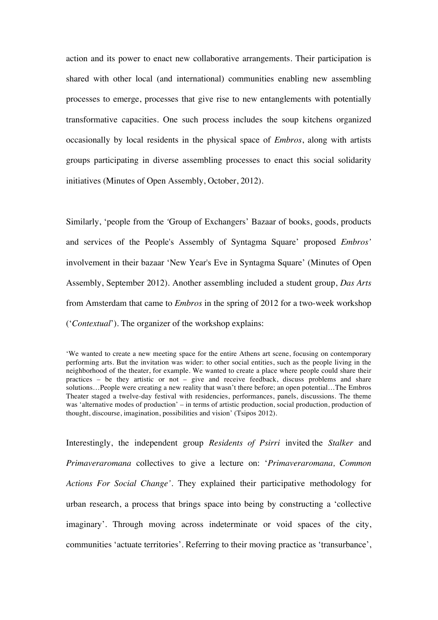action and its power to enact new collaborative arrangements. Their participation is shared with other local (and international) communities enabling new assembling processes to emerge, processes that give rise to new entanglements with potentially transformative capacities. One such process includes the soup kitchens organized occasionally by local residents in the physical space of *Embros*, along with artists groups participating in diverse assembling processes to enact this social solidarity initiatives (Minutes of Open Assembly, October, 2012).

Similarly, 'people from the *'*Group of Exchangers' Bazaar of books, goods, products and services of the People's Assembly of Syntagma Square' proposed *Embros'* involvement in their bazaar 'New Year's Eve in Syntagma Square' (Minutes of Open Assembly, September 2012). Another assembling included a student group, *Das Arts* from Amsterdam that came to *Embros* in the spring of 2012 for a two-week workshop ('*Contextual*'). The organizer of the workshop explains:

Interestingly, the independent group *Residents of Psirri* invited the *Stalker* and *Primaveraromana* collectives to give a lecture on: '*Primaveraromana, Common Actions For Social Change'*. They explained their participative methodology for urban research, a process that brings space into being by constructing a 'collective imaginary'. Through moving across indeterminate or void spaces of the city, communities 'actuate territories'. Referring to their moving practice as 'transurbance',

<sup>&#</sup>x27;We wanted to create a new meeting space for the entire Athens art scene, focusing on contemporary performing arts. But the invitation was wider: to other social entities, such as the people living in the neighborhood of the theater, for example. We wanted to create a place where people could share their practices – be they artistic or not – give and receive feedback, discuss problems and share solutions…People were creating a new reality that wasn't there before; an open potential…The Embros Theater staged a twelve-day festival with residencies, performances, panels, discussions. The theme was 'alternative modes of production' – in terms of artistic production, social production, production of thought, discourse, imagination, possibilities and vision' (Tsipos 2012).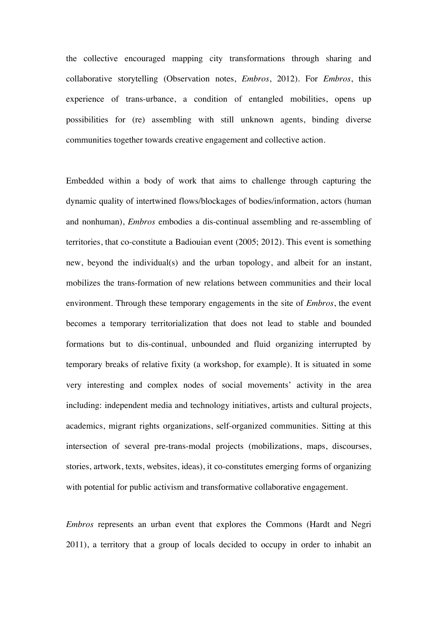the collective encouraged mapping city transformations through sharing and collaborative storytelling (Observation notes, *Embros*, 2012). For *Embros*, this experience of trans-urbance, a condition of entangled mobilities, opens up possibilities for (re) assembling with still unknown agents, binding diverse communities together towards creative engagement and collective action.

Embedded within a body of work that aims to challenge through capturing the dynamic quality of intertwined flows/blockages of bodies/information, actors (human and nonhuman), *Embros* embodies a dis-continual assembling and re-assembling of territories, that co-constitute a Badiouian event (2005; 2012). This event is something new, beyond the individual(s) and the urban topology, and albeit for an instant, mobilizes the trans-formation of new relations between communities and their local environment. Through these temporary engagements in the site of *Embros*, the event becomes a temporary territorialization that does not lead to stable and bounded formations but to dis-continual, unbounded and fluid organizing interrupted by temporary breaks of relative fixity (a workshop, for example). It is situated in some very interesting and complex nodes of social movements' activity in the area including: independent media and technology initiatives, artists and cultural projects, academics, migrant rights organizations, self-organized communities. Sitting at this intersection of several pre-trans-modal projects (mobilizations, maps, discourses, stories, artwork, texts, websites, ideas), it co-constitutes emerging forms of organizing with potential for public activism and transformative collaborative engagement.

*Embros* represents an urban event that explores the Commons (Hardt and Negri 2011), a territory that a group of locals decided to occupy in order to inhabit an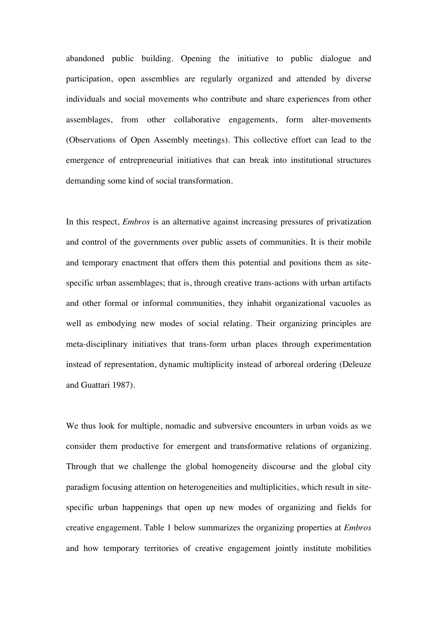abandoned public building. Opening the initiative to public dialogue and participation, open assemblies are regularly organized and attended by diverse individuals and social movements who contribute and share experiences from other assemblages, from other collaborative engagements, form alter-movements (Observations of Open Assembly meetings). This collective effort can lead to the emergence of entrepreneurial initiatives that can break into institutional structures demanding some kind of social transformation.

In this respect, *Embros* is an alternative against increasing pressures of privatization and control of the governments over public assets of communities. It is their mobile and temporary enactment that offers them this potential and positions them as sitespecific urban assemblages; that is, through creative trans-actions with urban artifacts and other formal or informal communities, they inhabit organizational vacuoles as well as embodying new modes of social relating. Their organizing principles are meta-disciplinary initiatives that trans-form urban places through experimentation instead of representation, dynamic multiplicity instead of arboreal ordering (Deleuze and Guattari 1987).

We thus look for multiple, nomadic and subversive encounters in urban voids as we consider them productive for emergent and transformative relations of organizing. Through that we challenge the global homogeneity discourse and the global city paradigm focusing attention on heterogeneities and multiplicities, which result in sitespecific urban happenings that open up new modes of organizing and fields for creative engagement. Table 1 below summarizes the organizing properties at *Embros* and how temporary territories of creative engagement jointly institute mobilities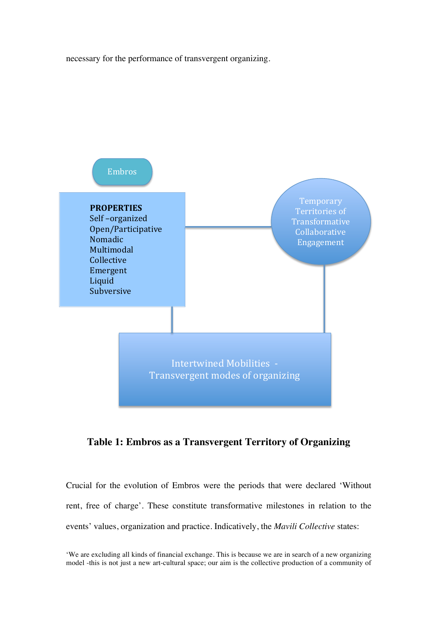necessary for the performance of transvergent organizing.



# **Table 1: Embros as a Transvergent Territory of Organizing**

Crucial for the evolution of Embros were the periods that were declared 'Without rent, free of charge'. These constitute transformative milestones in relation to the events' values, organization and practice. Indicatively, the *Mavili Collective* states:

'We are excluding all kinds of financial exchange. This is because we are in search of a new organizing model -this is not just a new art-cultural space; our aim is the collective production of a community of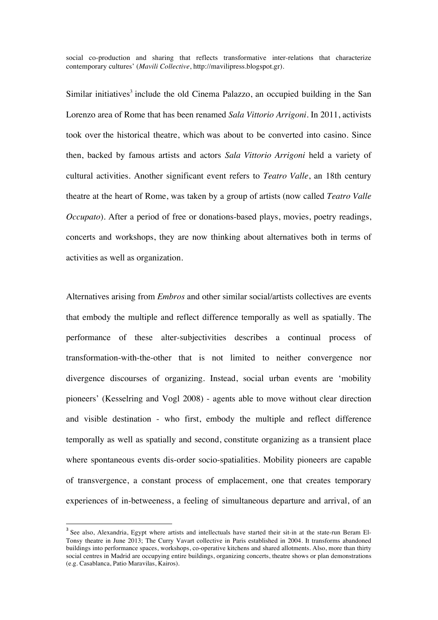social co-production and sharing that reflects transformative inter-relations that characterize contemporary cultures' (*Mavili Collective*, http://mavilipress.blogspot.gr).

Similar initiatives<sup>3</sup> include the old Cinema Palazzo, an occupied building in the San Lorenzo area of Rome that has been renamed *Sala Vittorio Arrigoni*. In 2011, activists took over the historical theatre, which was about to be converted into casino. Since then, backed by famous artists and actors *Sala Vittorio Arrigoni* held a variety of cultural activities. Another significant event refers to *Teatro Valle*, an 18th century theatre at the heart of Rome, was taken by a group of artists (now called *Teatro Valle Occupato*). After a period of free or donations-based plays, movies, poetry readings, concerts and workshops, they are now thinking about alternatives both in terms of activities as well as organization.

Alternatives arising from *Embros* and other similar social/artists collectives are events that embody the multiple and reflect difference temporally as well as spatially. The performance of these alter-subjectivities describes a continual process of transformation-with-the-other that is not limited to neither convergence nor divergence discourses of organizing. Instead, social urban events are 'mobility pioneers' (Kesselring and Vogl 2008) - agents able to move without clear direction and visible destination - who first, embody the multiple and reflect difference temporally as well as spatially and second, constitute organizing as a transient place where spontaneous events dis-order socio-spatialities. Mobility pioneers are capable of transvergence, a constant process of emplacement, one that creates temporary experiences of in-betweeness, a feeling of simultaneous departure and arrival, of an

<sup>&</sup>lt;sup>3</sup> See also, Alexandria, Egypt where artists and intellectuals have started their sit-in at the state-run Beram El-Tonsy theatre in June 2013; The Curry Vavart collective in Paris established in 2004. It transforms abandoned buildings into performance spaces, workshops, co-operative kitchens and shared allotments. Also, more than thirty social centres in Madrid are occupying entire buildings, organizing concerts, theatre shows or plan demonstrations (e.g. Casablanca, Patio Maravilas, Kairos).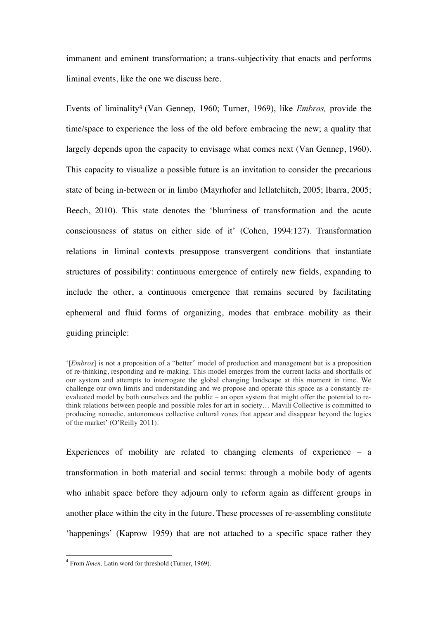immanent and eminent transformation; a trans-subjectivity that enacts and performs liminal events, like the one we discuss here.

Events of liminality<sup>4</sup> (Van Gennep, 1960; Turner, 1969), like *Embros,* provide the time/space to experience the loss of the old before embracing the new; a quality that largely depends upon the capacity to envisage what comes next (Van Gennep, 1960). This capacity to visualize a possible future is an invitation to consider the precarious state of being in-between or in limbo (Mayrhofer and Iellatchitch, 2005; Ibarra, 2005; Beech, 2010). This state denotes the 'blurriness of transformation and the acute consciousness of status on either side of it' (Cohen, 1994:127). Transformation relations in liminal contexts presuppose transvergent conditions that instantiate structures of possibility: continuous emergence of entirely new fields, expanding to include the other, a continuous emergence that remains secured by facilitating ephemeral and fluid forms of organizing, modes that embrace mobility as their guiding principle:

Experiences of mobility are related to changing elements of experience – a transformation in both material and social terms: through a mobile body of agents who inhabit space before they adjourn only to reform again as different groups in another place within the city in the future. These processes of re-assembling constitute 'happenings' (Kaprow 1959) that are not attached to a specific space rather they

<sup>&#</sup>x27;[*Embros*] is not a proposition of a "better" model of production and management but is a proposition of re-thinking, responding and re-making. This model emerges from the current lacks and shortfalls of our system and attempts to interrogate the global changing landscape at this moment in time. We challenge our own limits and understanding and we propose and operate this space as a constantly reevaluated model by both ourselves and the public – an open system that might offer the potential to rethink relations between people and possible roles for art in society… Mavili Collective is committed to producing nomadic, autonomous collective cultural zones that appear and disappear beyond the logics of the market' (O'Reilly 2011).

 <sup>4</sup> From *limen,* Latin word for threshold (Turner, 1969).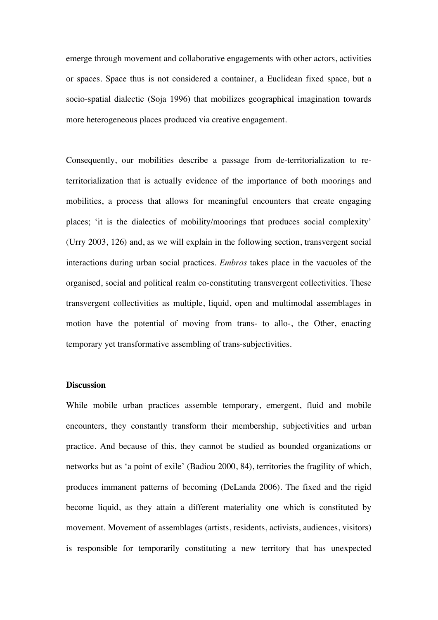emerge through movement and collaborative engagements with other actors, activities or spaces. Space thus is not considered a container, a Euclidean fixed space, but a socio-spatial dialectic (Soja 1996) that mobilizes geographical imagination towards more heterogeneous places produced via creative engagement.

Consequently, our mobilities describe a passage from de-territorialization to reterritorialization that is actually evidence of the importance of both moorings and mobilities, a process that allows for meaningful encounters that create engaging places; 'it is the dialectics of mobility/moorings that produces social complexity' (Urry 2003, 126) and, as we will explain in the following section, transvergent social interactions during urban social practices. *Embros* takes place in the vacuoles of the organised, social and political realm co-constituting transvergent collectivities. These transvergent collectivities as multiple, liquid, open and multimodal assemblages in motion have the potential of moving from trans- to allo-, the Other, enacting temporary yet transformative assembling of trans-subjectivities.

# **Discussion**

While mobile urban practices assemble temporary, emergent, fluid and mobile encounters, they constantly transform their membership, subjectivities and urban practice. And because of this, they cannot be studied as bounded organizations or networks but as 'a point of exile' (Badiou 2000, 84), territories the fragility of which, produces immanent patterns of becoming (DeLanda 2006). The fixed and the rigid become liquid, as they attain a different materiality one which is constituted by movement. Movement of assemblages (artists, residents, activists, audiences, visitors) is responsible for temporarily constituting a new territory that has unexpected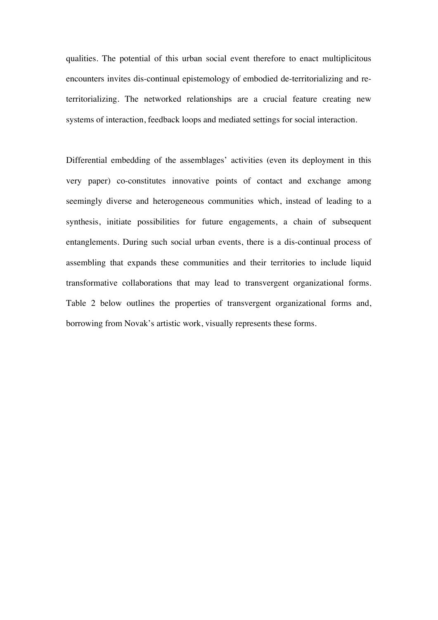qualities. The potential of this urban social event therefore to enact multiplicitous encounters invites dis-continual epistemology of embodied de-territorializing and reterritorializing. The networked relationships are a crucial feature creating new systems of interaction, feedback loops and mediated settings for social interaction.

Differential embedding of the assemblages' activities (even its deployment in this very paper) co-constitutes innovative points of contact and exchange among seemingly diverse and heterogeneous communities which, instead of leading to a synthesis, initiate possibilities for future engagements, a chain of subsequent entanglements. During such social urban events, there is a dis-continual process of assembling that expands these communities and their territories to include liquid transformative collaborations that may lead to transvergent organizational forms. Table 2 below outlines the properties of transvergent organizational forms and, borrowing from Novak's artistic work, visually represents these forms.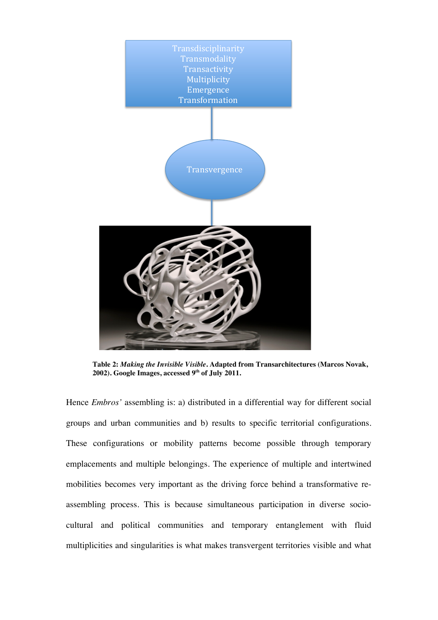

**Table 2:** *Making the Invisible Visible***. Adapted from Transarchitectures (Marcos Novak, 2002). Google Images, accessed 9th of July 2011.**

Hence *Embros'* assembling is: a) distributed in a differential way for different social groups and urban communities and b) results to specific territorial configurations. These configurations or mobility patterns become possible through temporary emplacements and multiple belongings. The experience of multiple and intertwined mobilities becomes very important as the driving force behind a transformative reassembling process. This is because simultaneous participation in diverse sociocultural and political communities and temporary entanglement with fluid multiplicities and singularities is what makes transvergent territories visible and what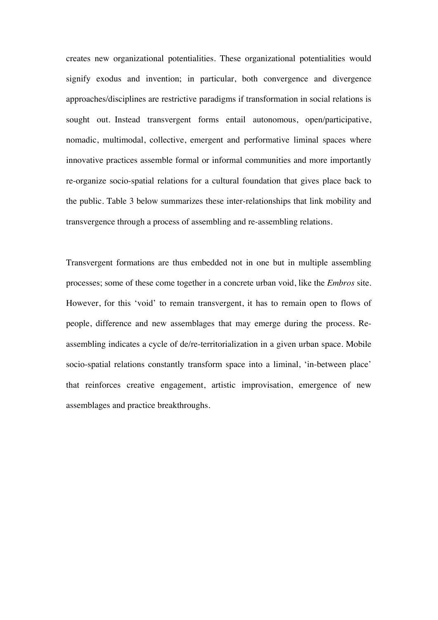creates new organizational potentialities. These organizational potentialities would signify exodus and invention; in particular, both convergence and divergence approaches/disciplines are restrictive paradigms if transformation in social relations is sought out. Instead transvergent forms entail autonomous, open/participative, nomadic, multimodal, collective, emergent and performative liminal spaces where innovative practices assemble formal or informal communities and more importantly re-organize socio-spatial relations for a cultural foundation that gives place back to the public. Table 3 below summarizes these inter-relationships that link mobility and transvergence through a process of assembling and re-assembling relations.

Transvergent formations are thus embedded not in one but in multiple assembling processes; some of these come together in a concrete urban void, like the *Embros* site. However, for this 'void' to remain transvergent, it has to remain open to flows of people, difference and new assemblages that may emerge during the process. Reassembling indicates a cycle of de/re-territorialization in a given urban space. Mobile socio-spatial relations constantly transform space into a liminal, 'in-between place' that reinforces creative engagement, artistic improvisation, emergence of new assemblages and practice breakthroughs.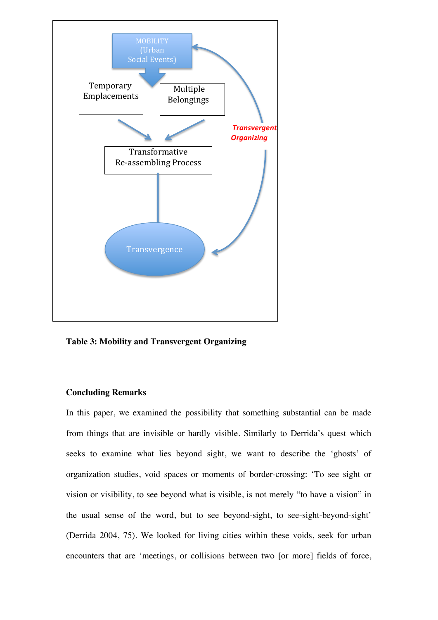

**Table 3: Mobility and Transvergent Organizing** 

# **Concluding Remarks**

In this paper, we examined the possibility that something substantial can be made from things that are invisible or hardly visible. Similarly to Derrida's quest which seeks to examine what lies beyond sight, we want to describe the 'ghosts' of organization studies, void spaces or moments of border-crossing: 'To see sight or vision or visibility, to see beyond what is visible, is not merely "to have a vision" in the usual sense of the word, but to see beyond-sight, to see-sight-beyond-sight' (Derrida 2004, 75). We looked for living cities within these voids, seek for urban encounters that are 'meetings, or collisions between two [or more] fields of force,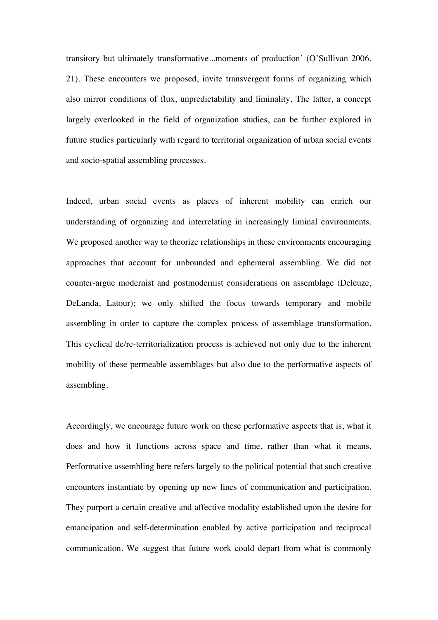transitory but ultimately transformative...moments of production' (O'Sullivan 2006, 21). These encounters we proposed, invite transvergent forms of organizing which also mirror conditions of flux, unpredictability and liminality. The latter, a concept largely overlooked in the field of organization studies, can be further explored in future studies particularly with regard to territorial organization of urban social events and socio-spatial assembling processes.

Indeed, urban social events as places of inherent mobility can enrich our understanding of organizing and interrelating in increasingly liminal environments. We proposed another way to theorize relationships in these environments encouraging approaches that account for unbounded and ephemeral assembling. We did not counter-argue modernist and postmodernist considerations on assemblage (Deleuze, DeLanda, Latour); we only shifted the focus towards temporary and mobile assembling in order to capture the complex process of assemblage transformation. This cyclical de/re-territorialization process is achieved not only due to the inherent mobility of these permeable assemblages but also due to the performative aspects of assembling.

Accordingly, we encourage future work on these performative aspects that is, what it does and how it functions across space and time, rather than what it means. Performative assembling here refers largely to the political potential that such creative encounters instantiate by opening up new lines of communication and participation. They purport a certain creative and affective modality established upon the desire for emancipation and self-determination enabled by active participation and reciprocal communication. We suggest that future work could depart from what is commonly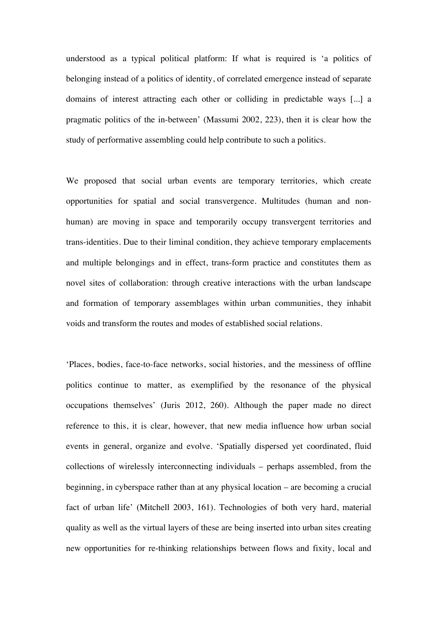understood as a typical political platform: If what is required is 'a politics of belonging instead of a politics of identity, of correlated emergence instead of separate domains of interest attracting each other or colliding in predictable ways [...] a pragmatic politics of the in-between' (Massumi 2002, 223), then it is clear how the study of performative assembling could help contribute to such a politics.

We proposed that social urban events are temporary territories, which create opportunities for spatial and social transvergence. Multitudes (human and nonhuman) are moving in space and temporarily occupy transvergent territories and trans-identities. Due to their liminal condition, they achieve temporary emplacements and multiple belongings and in effect, trans-form practice and constitutes them as novel sites of collaboration: through creative interactions with the urban landscape and formation of temporary assemblages within urban communities, they inhabit voids and transform the routes and modes of established social relations.

'Places, bodies, face-to-face networks, social histories, and the messiness of offline politics continue to matter, as exemplified by the resonance of the physical occupations themselves' (Juris 2012, 260). Although the paper made no direct reference to this, it is clear, however, that new media influence how urban social events in general, organize and evolve. 'Spatially dispersed yet coordinated, fluid collections of wirelessly interconnecting individuals – perhaps assembled, from the beginning, in cyberspace rather than at any physical location – are becoming a crucial fact of urban life' (Mitchell 2003, 161). Technologies of both very hard, material quality as well as the virtual layers of these are being inserted into urban sites creating new opportunities for re-thinking relationships between flows and fixity, local and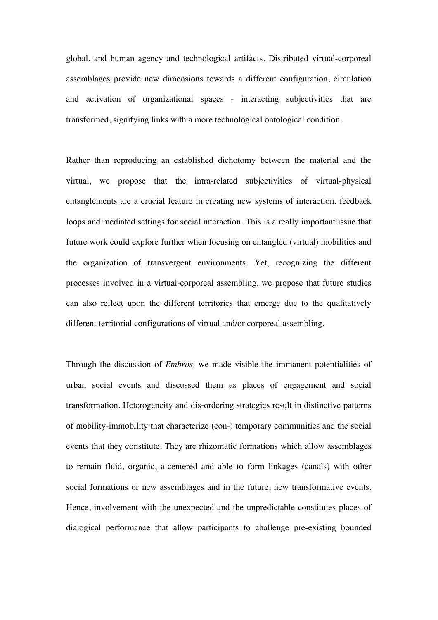global, and human agency and technological artifacts. Distributed virtual-corporeal assemblages provide new dimensions towards a different configuration, circulation and activation of organizational spaces - interacting subjectivities that are transformed, signifying links with a more technological ontological condition.

Rather than reproducing an established dichotomy between the material and the virtual, we propose that the intra-related subjectivities of virtual-physical entanglements are a crucial feature in creating new systems of interaction, feedback loops and mediated settings for social interaction. This is a really important issue that future work could explore further when focusing on entangled (virtual) mobilities and the organization of transvergent environments. Yet, recognizing the different processes involved in a virtual-corporeal assembling, we propose that future studies can also reflect upon the different territories that emerge due to the qualitatively different territorial configurations of virtual and/or corporeal assembling.

Through the discussion of *Embros,* we made visible the immanent potentialities of urban social events and discussed them as places of engagement and social transformation. Heterogeneity and dis-ordering strategies result in distinctive patterns of mobility-immobility that characterize (con-) temporary communities and the social events that they constitute. They are rhizomatic formations which allow assemblages to remain fluid, organic, a-centered and able to form linkages (canals) with other social formations or new assemblages and in the future, new transformative events. Hence, involvement with the unexpected and the unpredictable constitutes places of dialogical performance that allow participants to challenge pre-existing bounded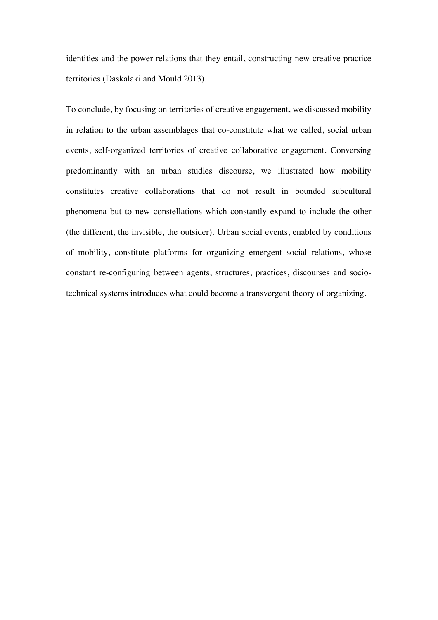identities and the power relations that they entail, constructing new creative practice territories (Daskalaki and Mould 2013).

To conclude, by focusing on territories of creative engagement, we discussed mobility in relation to the urban assemblages that co-constitute what we called, social urban events, self-organized territories of creative collaborative engagement. Conversing predominantly with an urban studies discourse, we illustrated how mobility constitutes creative collaborations that do not result in bounded subcultural phenomena but to new constellations which constantly expand to include the other (the different, the invisible, the outsider). Urban social events, enabled by conditions of mobility, constitute platforms for organizing emergent social relations, whose constant re-configuring between agents, structures, practices, discourses and sociotechnical systems introduces what could become a transvergent theory of organizing.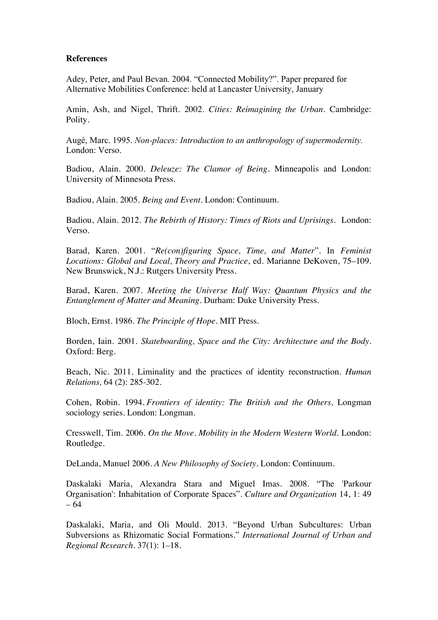## **References**

Adey, Peter, and Paul Bevan. 2004. "Connected Mobility?". Paper prepared for Alternative Mobilities Conference: held at Lancaster University, January

Amin, Ash, and Nigel, Thrift. 2002. *Cities: Reimagining the Urban*. Cambridge: Polity.

Augé, Marc. 1995. *Non-places: Introduction to an anthropology of supermodernity.*  London: Verso.

Badiou, Alain. 2000. *Deleuze: The Clamor of Being*. Minneapolis and London: University of Minnesota Press.

Badiou, Alain. 2005. *Being and Event.* London: Continuum.

Badiou, Alain. 2012. *The Rebirth of History: Times of Riots and Uprisings.* London: Verso.

Barad, Karen. 2001. "*Re(con)figuring Space, Time, and Matter*". In *Feminist Locations: Global and Local, Theory and Practice*, ed. Marianne DeKoven, 75–109. New Brunswick, N.J.: Rutgers University Press.

Barad, Karen. 2007. *Meeting the Universe Half Way: Quantum Physics and the Entanglement of Matter and Meaning.* Durham: Duke University Press.

Bloch, Ernst. 1986. *The Principle of Hope*. MIT Press.

Borden, Iain. 2001. *Skateboarding, Space and the City: Architecture and the Body*. Oxford: Berg.

Beach, Nic. 2011. Liminality and the practices of identity reconstruction. *Human Relations,* 64 (2): 285-302.

Cohen, Robin. 1994. *Frontiers of identity: The British and the Others,* Longman sociology series. London: Longman.

Cresswell, Tim. 2006. *On the Move. Mobility in the Modern Western World*. London: Routledge.

DeLanda, Manuel 2006. *A New Philosophy of Society*. London: Continuum.

Daskalaki Maria, Alexandra Stara and Miguel Imas. 2008. "The 'Parkour Organisation': Inhabitation of Corporate Spaces". *Culture and Organization* 14, 1: 49 – 64

Daskalaki, Maria, and Oli Mould. 2013. "Beyond Urban Subcultures: Urban Subversions as Rhizomatic Social Formations." *International Journal of Urban and Regional Research.* 37(1): 1–18.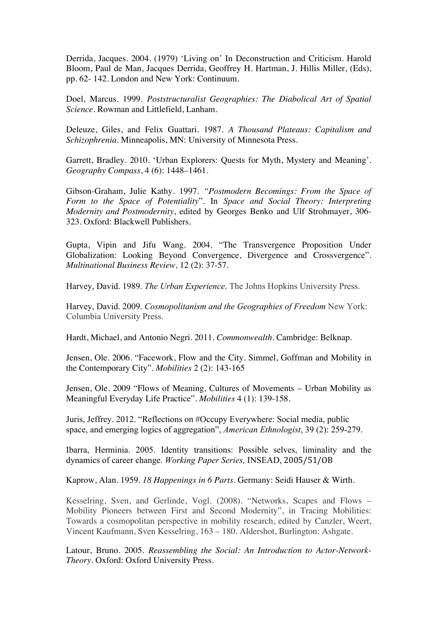Derrida, Jacques. 2004. (1979) 'Living on' In Deconstruction and Criticism. Harold Bloom, Paul de Man, Jacques Derrida, Geoffrey H. Hartman, J. Hillis Miller, (Eds), pp. 62- 142. London and New York: Continuum.

Doel, Marcus. 1999. *Poststructuralist Geographies: The Diabolical Art of Spatial Science.* Rowman and Littlefield, Lanham.

Deleuze, Giles, and Felix Guattari. 1987. *A Thousand Plateaus: Capitalism and Schizophrenia.* Minneapolis, MN: University of Minnesota Press.

Garrett, Bradley. 2010. 'Urban Explorers: Quests for Myth, Mystery and Meaning'. *Geography Compass*, 4 (6): 1448–1461.

Gibson-Graham, Julie Kathy. 1997. *"Postmodern Becomings: From the Space of Form to the Space of Potentiality*". In *Space and Social Theory: Interpreting Modernity and Postmodernity*, edited by Georges Benko and Ulf Strohmayer, 306- 323. Oxford: Blackwell Publishers.

Gupta, Vipin and Jifu Wang. 2004. "The Transvergence Proposition Under Globalization: Looking Beyond Convergence, Divergence and Crossvergence". *Multinational Business Review,* 12 (2): 37-57.

Harvey, David. 1989. *The Urban Experience*. The Johns Hopkins University Press.

Harvey, David. 2009. *Cosmopolitanism and the Geographies of Freedom* New York: Columbia University Press.

Hardt, Michael, and Antonio Negri. 2011. *Commonwealth*. Cambridge: Belknap.

Jensen, Ole. 2006. "Facework, Flow and the City. Simmel, Goffman and Mobility in the Contemporary City". *Mobilities* 2 (2): 143-165

Jensen, Ole. 2009 "Flows of Meaning, Cultures of Movements – Urban Mobility as Meaningful Everyday Life Practice". *Mobilities* 4 (1): 139-158.

Juris, Jeffrey. 2012. "Reflections on #Occupy Everywhere: Social media, public space, and emerging logics of aggregation", *American Ethnologist*, 39 (2): 259-279.

Ibarra, Herminia. 2005. Identity transitions: Possible selves, liminality and the dynamics of career change. *Working Paper Series,* INSEAD, 2005/51/OB

Kaprow, Alan. 1959. *18 Happenings in 6 Parts*. Germany: Seidi Hauser & Wirth.

Kesselring, Sven, and Gerlinde, Vogl. (2008). "Networks, Scapes and Flows – Mobility Pioneers between First and Second Modernity", in Tracing Mobilities: Towards a cosmopolitan perspective in mobility research, edited by Canzler, Weert, Vincent Kaufmann, Sven Kesselring, 163 – 180. Aldershot, Burlington: Ashgate.

Latour, Bruno. 2005. *Reassembling the Social: An Introduction to Actor-Network-Theory*. Oxford: Oxford University Press.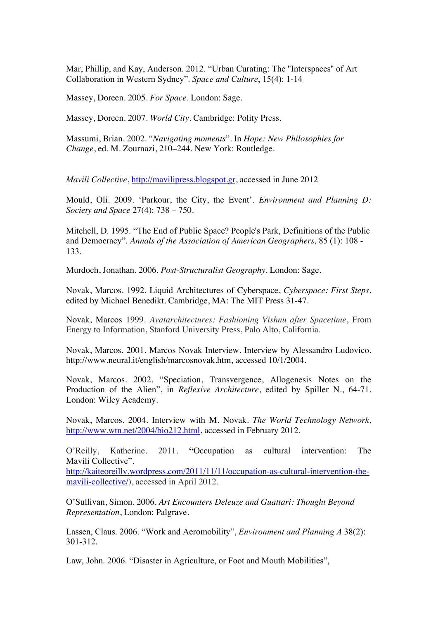Mar, Phillip, and Kay, Anderson. 2012. "Urban Curating: The ''Interspaces'' of Art Collaboration in Western Sydney". *Space and Culture*, 15(4): 1-14

Massey, Doreen. 2005. *For Space*. London: Sage.

Massey, Doreen. 2007. *World City*. Cambridge: Polity Press.

Massumi, Brian. 2002. "*Navigating moments*". In *Hope: New Philosophies for Change*, ed. M. Zournazi, 210–244. New York: Routledge.

*Mavili Collective*, http://mavilipress.blogspot.gr, accessed in June 2012

Mould, Oli. 2009. 'Parkour, the City, the Event'. *Environment and Planning D: Society and Space* 27(4): 738 – 750.

Mitchell, D. 1995. "The End of Public Space? People's Park, Definitions of the Public and Democracy". *Annals of the Association of American Geographers,* 85 (1): 108 - 133.

Murdoch, Jonathan. 2006. *Post-Structuralist Geography*. London: Sage.

Novak, Marcos. 1992. Liquid Architectures of Cyberspace, *Cyberspace: First Steps*, edited by Michael Benedikt. Cambridge, MA: The MIT Press 31-47.

Novak, Marcos 1999. *Avatarchitectures: Fashioning Vishnu after Spacetime*, From Energy to Information, Stanford University Press, Palo Alto, California.

Novak, Marcos. 2001. Marcos Novak Interview. Interview by Alessandro Ludovico. http://www.neural.it/english/marcosnovak.htm, accessed 10/1/2004.

Novak, Marcos. 2002. "Speciation, Transvergence, Allogenesis Notes on the Production of the Alien", in *Reflexive Architecture*, edited by Spiller N., 64-71. London: Wiley Academy.

Novak, Marcos. 2004. Interview with M. Novak. *The World Technology Network*, http://www.wtn.net/2004/bio212.html, accessed in February 2012.

O'Reilly, Katherine. 2011. **"**Occupation as cultural intervention: The Mavili Collective".

http://kaiteoreilly.wordpress.com/2011/11/11/occupation-as-cultural-intervention-themavili-collective/), accessed in April 2012.

O'Sullivan, Simon. 2006. *Art Encounters Deleuze and Guattari: Thought Beyond Representation*, London: Palgrave.

Lassen, Claus. 2006. "Work and Aeromobility", *Environment and Planning A* 38(2): 301-312.

Law, John. 2006. "Disaster in Agriculture, or Foot and Mouth Mobilities",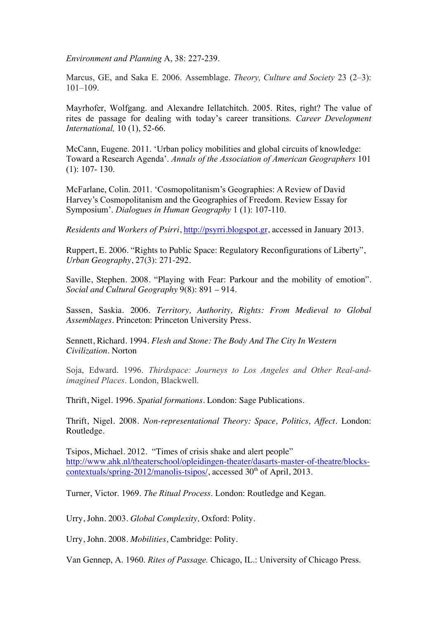*Environment and Planning* A, 38: 227-239.

Marcus, GE, and Saka E. 2006. Assemblage. *Theory, Culture and Society* 23 (2–3): 101–109.

Mayrhofer, Wolfgang. and Alexandre Iellatchitch. 2005. Rites, right? The value of rites de passage for dealing with today's career transitions. *Career Development International,* 10 (1), 52-66.

McCann, Eugene. 2011. 'Urban policy mobilities and global circuits of knowledge: Toward a Research Agenda'. *Annals of the Association of American Geographers* 101 (1): 107- 130.

McFarlane, Colin. 2011. 'Cosmopolitanism's Geographies: A Review of David Harvey's Cosmopolitanism and the Geographies of Freedom. Review Essay for Symposium'. *Dialogues in Human Geography* 1 (1): 107-110.

*Residents and Workers of Psirri*, http://psyrri.blogspot.gr, accessed in January 2013.

Ruppert, E. 2006. "Rights to Public Space: Regulatory Reconfigurations of Liberty", *Urban Geography*, 27(3): 271-292.

Saville, Stephen. 2008. "Playing with Fear: Parkour and the mobility of emotion". *Social and Cultural Geography* 9(8): 891 – 914.

Sassen, Saskia. 2006. *Territory, Authority, Rights: From Medieval to Global Assemblages.* Princeton: Princeton University Press.

Sennett, Richard. 1994. *Flesh and Stone: The Body And The City In Western Civilization*. Norton

Soja, Edward. 1996. *Thirdspace: Journeys to Los Angeles and Other Real-andimagined Places*. London, Blackwell.

Thrift, Nigel. 1996. *Spatial formations*. London: Sage Publications.

Thrift, Nigel. 2008. *Non-representational Theory: Space, Politics, Affect*. London: Routledge.

Tsipos, Michael. 2012. "Times of crisis shake and alert people" http://www.ahk.nl/theaterschool/opleidingen-theater/dasarts-master-of-theatre/blocks- $\overline{\text{contextuals/spring-2012/manolis-tsipos/}}$ , accessed 30<sup>th</sup> of April, 2013.

Turner, Victor. 1969. *The Ritual Process*. London: Routledge and Kegan.

Urry, John. 2003. *Global Complexity,* Oxford: Polity.

Urry, John. 2008. *Mobilities*, Cambridge: Polity.

Van Gennep, A. 1960. *Rites of Passage.* Chicago, IL.: University of Chicago Press.